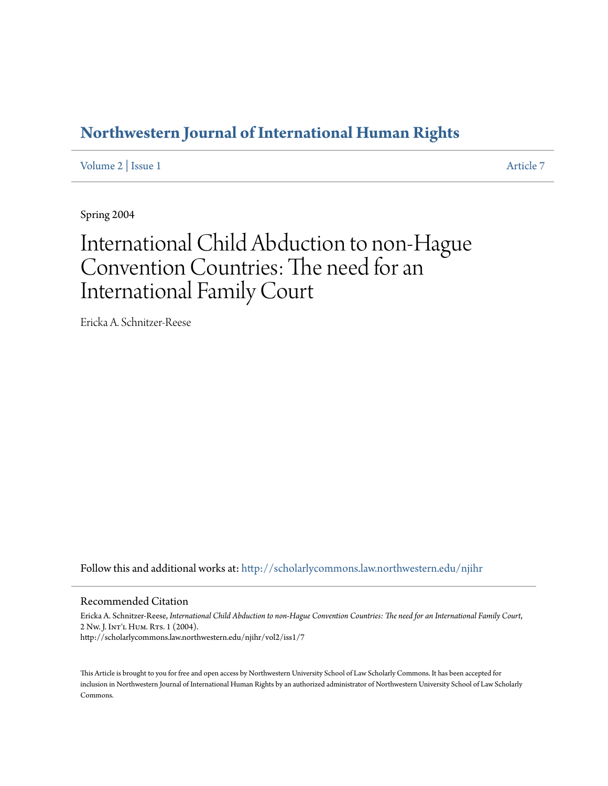# **[Northwestern Journal of International Human Rights](http://scholarlycommons.law.northwestern.edu/njihr?utm_source=scholarlycommons.law.northwestern.edu%2Fnjihr%2Fvol2%2Fiss1%2F7&utm_medium=PDF&utm_campaign=PDFCoverPages)**

[Volume 2](http://scholarlycommons.law.northwestern.edu/njihr/vol2?utm_source=scholarlycommons.law.northwestern.edu%2Fnjihr%2Fvol2%2Fiss1%2F7&utm_medium=PDF&utm_campaign=PDFCoverPages) | [Issue 1](http://scholarlycommons.law.northwestern.edu/njihr/vol2/iss1?utm_source=scholarlycommons.law.northwestern.edu%2Fnjihr%2Fvol2%2Fiss1%2F7&utm_medium=PDF&utm_campaign=PDFCoverPages) [Article 7](http://scholarlycommons.law.northwestern.edu/njihr/vol2/iss1/7?utm_source=scholarlycommons.law.northwestern.edu%2Fnjihr%2Fvol2%2Fiss1%2F7&utm_medium=PDF&utm_campaign=PDFCoverPages)

Spring 2004

# International Child Abduction to non-Hague Convention Countries: The need for an International Family Court

Ericka A. Schnitzer-Reese

Follow this and additional works at: [http://scholarlycommons.law.northwestern.edu/njihr](http://scholarlycommons.law.northwestern.edu/njihr?utm_source=scholarlycommons.law.northwestern.edu%2Fnjihr%2Fvol2%2Fiss1%2F7&utm_medium=PDF&utm_campaign=PDFCoverPages)

#### Recommended Citation

Ericka A. Schnitzer-Reese, *International Child Abduction to non-Hague Convention Countries: The need for an International Family Court*, 2 Nw. J. Int'l Hum. Rts. 1 (2004). http://scholarlycommons.law.northwestern.edu/njihr/vol2/iss1/7

This Article is brought to you for free and open access by Northwestern University School of Law Scholarly Commons. It has been accepted for inclusion in Northwestern Journal of International Human Rights by an authorized administrator of Northwestern University School of Law Scholarly Commons.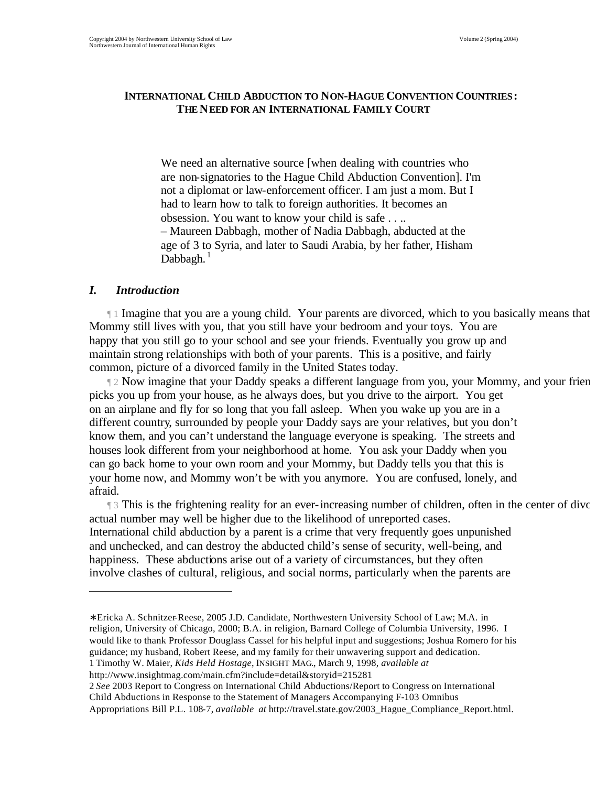# **INTERNATIONAL CHILD ABDUCTION TO NON-HAGUE CONVENTION COUNTRIES: THE NEED FOR AN INTERNATIONAL FAMILY COURT**

We need an alternative source [when dealing with countries who are non-signatories to the Hague Child Abduction Convention]. I'm not a diplomat or law-enforcement officer. I am just a mom. But I had to learn how to talk to foreign authorities. It becomes an obsession. You want to know your child is safe . . .. – Maureen Dabbagh, mother of Nadia Dabbagh, abducted at the age of 3 to Syria, and later to Saudi Arabia, by her father, Hisham Dabbagh. $<sup>1</sup>$ </sup>

## *I. Introduction*

 $\overline{a}$ 

 $\P$  1 Imagine that you are a young child. Your parents are divorced, which to you basically means that Mommy still lives with you, that you still have your bedroom and your toys. You are happy that you still go to your school and see your friends. Eventually you grow up and maintain strong relationships with both of your parents. This is a positive, and fairly common, picture of a divorced family in the United States today.

 $\parallel$  2 Now imagine that your Daddy speaks a different language from you, your Mommy, and your frien picks you up from your house, as he always does, but you drive to the airport. You get on an airplane and fly for so long that you fall asleep. When you wake up you are in a different country, surrounded by people your Daddy says are your relatives, but you don't know them, and you can't understand the language everyone is speaking. The streets and houses look different from your neighborhood at home. You ask your Daddy when you can go back home to your own room and your Mommy, but Daddy tells you that this is your home now, and Mommy won't be with you anymore. You are confused, lonely, and afraid.

13 This is the frightening reality for an ever-increasing number of children, often in the center of dive actual number may well be higher due to the likelihood of unreported cases. International child abduction by a parent is a crime that very frequently goes unpunished and unchecked, and can destroy the abducted child's sense of security, well-being, and happiness. These abductions arise out of a variety of circumstances, but they often involve clashes of cultural, religious, and social norms, particularly when the parents are

```
http://www.insightmag.com/main.cfm?include=detail&storyid=215281
```
2 *See* 2003 Report to Congress on International Child Abductions/Report to Congress on International Child Abductions in Response to the Statement of Managers Accompanying F-103 Omnibus

<sup>∗</sup> Ericka A. Schnitzer-Reese, 2005 J.D. Candidate, Northwestern University School of Law; M.A. in religion, University of Chicago, 2000; B.A. in religion, Barnard College of Columbia University, 1996. I would like to thank Professor Douglass Cassel for his helpful input and suggestions; Joshua Romero for his guidance; my husband, Robert Reese, and my family for their unwavering support and dedication. 1 Timothy W. Maier, *Kids Held Hostage*, INSIGHT MAG., March 9, 1998, *available at*

Appropriations Bill P.L. 108-7, *available at* http://travel.state.gov/2003\_Hague\_Compliance\_Report.html.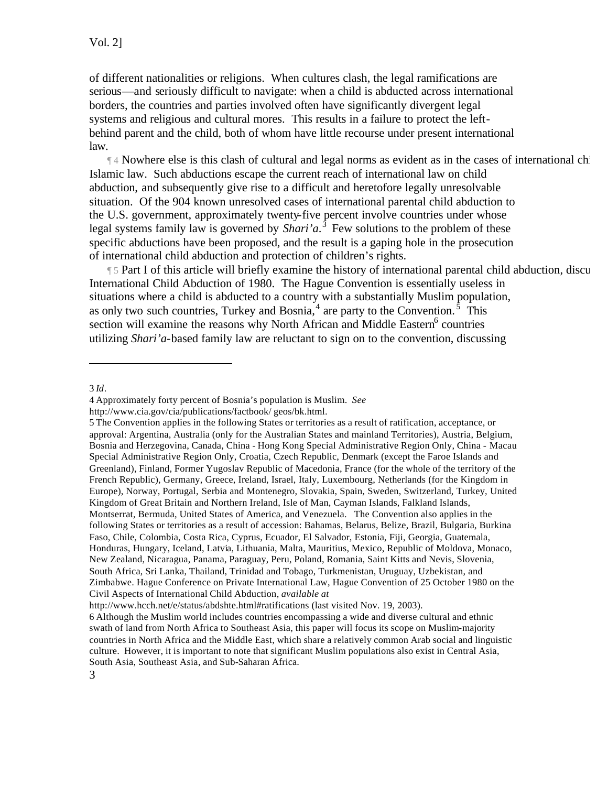of different nationalities or religions. When cultures clash, the legal ramifications are serious—and seriously difficult to navigate: when a child is abducted across international borders, the countries and parties involved often have significantly divergent legal systems and religious and cultural mores. This results in a failure to protect the leftbehind parent and the child, both of whom have little recourse under present international law.

 $\mathbb{I}^4$  Nowhere else is this clash of cultural and legal norms as evident as in the cases of international chi Islamic law. Such abductions escape the current reach of international law on child abduction, and subsequently give rise to a difficult and heretofore legally unresolvable situation. Of the 904 known unresolved cases of international parental child abduction to the U.S. government, approximately twenty-five percent involve countries under whose legal systems family law is governed by *Shari'a*.<sup>3</sup> Few solutions to the problem of these specific abductions have been proposed, and the result is a gaping hole in the prosecution of international child abduction and protection of children's rights.

¶ 5 Part I of this article will briefly examine the history of international parental child abduction, discussing the socio International Child Abduction of 1980. The Hague Convention is essentially useless in situations where a child is abducted to a country with a substantially Muslim population, as only two such countries, Turkey and Bosnia,  $4$  are party to the Convention.<sup>5</sup> This section will examine the reasons why North African and Middle Eastern<sup>6</sup> countries utilizing *Shari'a*-based family law are reluctant to sign on to the convention, discussing

<sup>3</sup> *Id*.

<sup>4</sup> Approximately forty percent of Bosnia's population is Muslim. *See* 

http://www.cia.gov/cia/publications/factbook/ geos/bk.html.

<sup>5</sup> The Convention applies in the following States or territories as a result of ratification, acceptance, or approval: Argentina, Australia (only for the Australian States and mainland Territories), Austria, Belgium, Bosnia and Herzegovina, Canada, China - Hong Kong Special Administrative Region Only, China - Macau Special Administrative Region Only, Croatia, Czech Republic, Denmark (except the Faroe Islands and Greenland), Finland, Former Yugoslav Republic of Macedonia, France (for the whole of the territory of the French Republic), Germany, Greece, Ireland, Israel, Italy, Luxembourg, Netherlands (for the Kingdom in Europe), Norway, Portugal, Serbia and Montenegro, Slovakia, Spain, Sweden, Switzerland, Turkey, United Kingdom of Great Britain and Northern Ireland, Isle of Man, Cayman Islands, Falkland Islands, Montserrat, Bermuda, United States of America, and Venezuela. The Convention also applies in the following States or territories as a result of accession: Bahamas, Belarus, Belize, Brazil, Bulgaria, Burkina Faso, Chile, Colombia, Costa Rica, Cyprus, Ecuador, El Salvador, Estonia, Fiji, Georgia, Guatemala, Honduras, Hungary, Iceland, Latvia, Lithuania, Malta, Mauritius, Mexico, Republic of Moldova, Monaco, New Zealand, Nicaragua, Panama, Paraguay, Peru, Poland, Romania, Saint Kitts and Nevis, Slovenia, South Africa, Sri Lanka, Thailand, Trinidad and Tobago, Turkmenistan, Uruguay, Uzbekistan, and Zimbabwe. Hague Conference on Private International Law, Hague Convention of 25 October 1980 on the Civil Aspects of International Child Abduction, *available at*

http://www.hcch.net/e/status/abdshte.html#ratifications (last visited Nov. 19, 2003).

<sup>6</sup> Although the Muslim world includes countries encompassing a wide and diverse cultural and ethnic swath of land from North Africa to Southeast Asia, this paper will focus its scope on Muslim-majority countries in North Africa and the Middle East, which share a relatively common Arab social and linguistic culture. However, it is important to note that significant Muslim populations also exist in Central Asia, South Asia, Southeast Asia, and Sub-Saharan Africa.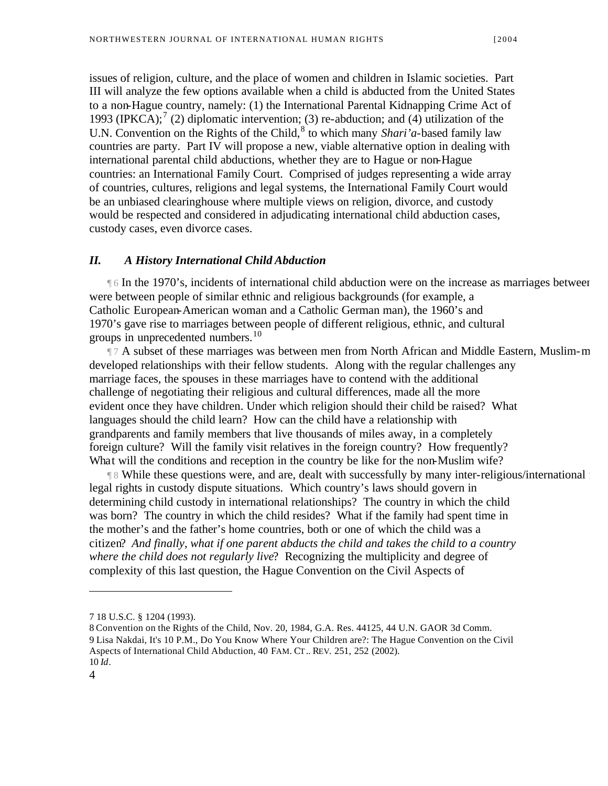issues of religion, culture, and the place of women and children in Islamic societies. Part III will analyze the few options available when a child is abducted from the United States to a non-Hague country, namely: (1) the International Parental Kidnapping Crime Act of 1993 (IPKCA);<sup>7</sup> (2) diplomatic intervention; (3) re-abduction; and (4) utilization of the U.N. Convention on the Rights of the Child,<sup>8</sup> to which many *Shari'a*-based family law countries are party. Part IV will propose a new, viable alternative option in dealing with international parental child abductions, whether they are to Hague or non-Hague countries: an International Family Court. Comprised of judges representing a wide array of countries, cultures, religions and legal systems, the International Family Court would be an unbiased clearinghouse where multiple views on religion, divorce, and custody would be respected and considered in adjudicating international child abduction cases, custody cases, even divorce cases.

#### *II. A History International Child Abduction*

**Theorem 1970's, incidents of international child abduction were on the increase as marriages between** were between people of similar ethnic and religious backgrounds (for example, a Catholic European-American woman and a Catholic German man), the 1960's and 1970's gave rise to marriages between people of different religious, ethnic, and cultural groups in unprecedented numbers.<sup>10</sup>

 $\P$  7 A subset of these marriages was between men from North African and Middle Eastern, Muslim-m developed relationships with their fellow students. Along with the regular challenges any marriage faces, the spouses in these marriages have to contend with the additional challenge of negotiating their religious and cultural differences, made all the more evident once they have children. Under which religion should their child be raised? What languages should the child learn? How can the child have a relationship with grandparents and family members that live thousands of miles away, in a completely foreign culture? Will the family visit relatives in the foreign country? How frequently? What will the conditions and reception in the country be like for the non-Muslim wife?

 $\parallel$  8 While these questions were, and are, dealt with successfully by many inter-religious/international families legal rights in custody dispute situations. Which country's laws should govern in determining child custody in international relationships? The country in which the child was born? The country in which the child resides? What if the family had spent time in the mother's and the father's home countries, both or one of which the child was a citizen? *And finally, what if one parent abducts the child and takes the child to a country where the child does not regularly live*? Recognizing the multiplicity and degree of complexity of this last question, the Hague Convention on the Civil Aspects of

<sup>7 18</sup> U.S.C. § 1204 (1993).

<sup>8</sup> Convention on the Rights of the Child, Nov. 20, 1984, G.A. Res. 44125, 44 U.N. GAOR 3d Comm. 9 Lisa Nakdai, It's 10 P.M., Do You Know Where Your Children are?: The Hague Convention on the Civil Aspects of International Child Abduction, 40 FAM. CT.. REV. 251, 252 (2002). 10 *Id*.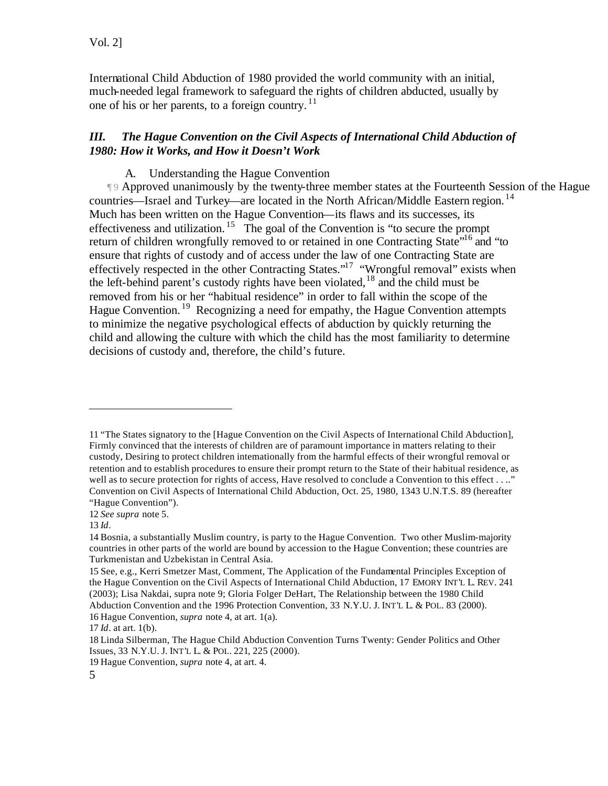International Child Abduction of 1980 provided the world community with an initial, much-needed legal framework to safeguard the rights of children abducted, usually by one of his or her parents, to a foreign country. <sup>11</sup>

# *III. The Hague Convention on the Civil Aspects of International Child Abduction of 1980: How it Works, and How it Doesn't Work*

A. Understanding the Hague Convention

¶ 9 Approved unanimously by the twenty-three member states at the Fourteenth Session of the Hague Conference, thirty countries—Israel and Turkey—are located in the North African/Middle Eastern region.<sup>14</sup> Much has been written on the Hague Convention—its flaws and its successes, its effectiveness and utilization.<sup>15</sup> The goal of the Convention is "to secure the prompt" return of children wrongfully removed to or retained in one Contracting State<sup>"16</sup> and "to ensure that rights of custody and of access under the law of one Contracting State are effectively respected in the other Contracting States."<sup>17</sup> "Wrongful removal" exists when the left-behind parent's custody rights have been violated,  $18$  and the child must be removed from his or her "habitual residence" in order to fall within the scope of the Hague Convention.<sup>19</sup> Recognizing a need for empathy, the Hague Convention attempts to minimize the negative psychological effects of abduction by quickly returning the child and allowing the culture with which the child has the most familiarity to determine decisions of custody and, therefore, the child's future.

<sup>11 &</sup>quot;The States signatory to the [Hague Convention on the Civil Aspects of International Child Abduction], Firmly convinced that the interests of children are of paramount importance in matters relating to their custody, Desiring to protect children internationally from the harmful effects of their wrongful removal or retention and to establish procedures to ensure their prompt return to the State of their habitual residence, as well as to secure protection for rights of access, Have resolved to conclude a Convention to this effect . . .." Convention on Civil Aspects of International Child Abduction, Oct. 25, 1980, 1343 U.N.T.S. 89 (hereafter "Hague Convention").

<sup>12</sup> *See supra* note 5.

<sup>13</sup> *Id*.

<sup>14</sup> Bosnia, a substantially Muslim country, is party to the Hague Convention. Two other Muslim-majority countries in other parts of the world are bound by accession to the Hague Convention; these countries are Turkmenistan and Uzbekistan in Central Asia.

<sup>15</sup> See, e.g., Kerri Smetzer Mast, Comment, The Application of the Fundamental Principles Exception of the Hague Convention on the Civil Aspects of International Child Abduction, 17 EMORY INT'L L. REV. 241 (2003); Lisa Nakdai, supra note 9; Gloria Folger DeHart, The Relationship between the 1980 Child Abduction Convention and the 1996 Protection Convention, 33 N.Y.U. J. INT'L L. & POL. 83 (2000). 16 Hague Convention, *supra* note 4, at art. 1(a).

<sup>17</sup> *Id*. at art. 1(b).

<sup>18</sup> Linda Silberman, The Hague Child Abduction Convention Turns Twenty: Gender Politics and Other Issues, 33 N.Y.U. J. INT'L L. & POL. 221, 225 (2000).

<sup>19</sup> Hague Convention, *supra* note 4, at art. 4.

<sup>5</sup>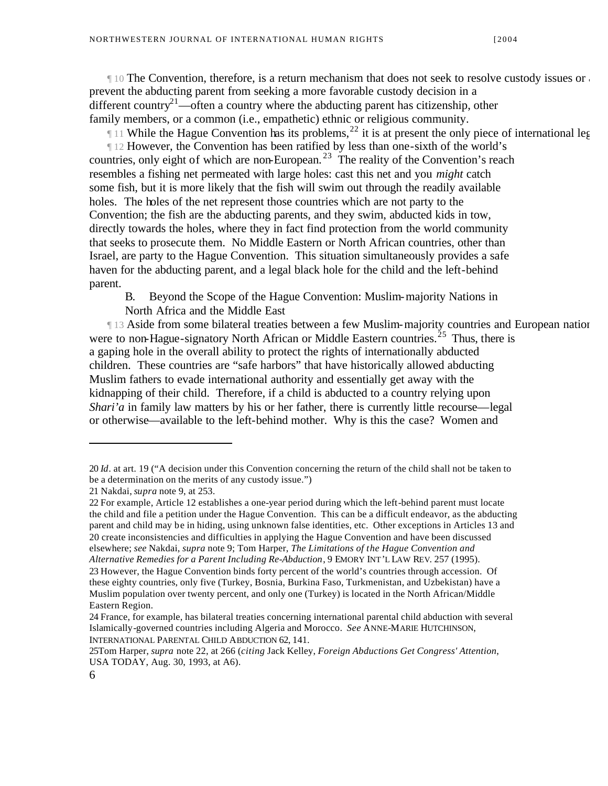$\parallel$  10 The Convention, therefore, is a return mechanism that does not seek to resolve custody issues or any additional disputes concerning the childen the childen the childen status; status; status; status; status; statu prevent the abducting parent from seeking a more favorable custody decision in a different country<sup>21</sup>—often a country where the abducting parent has citizenship, other family members, or a common (i.e., empathetic) ethnic or religious community.

If 11 While the Hague Convention has its problems,<sup>22</sup> it is at present the only piece of international leg

¶ 12 However, the Convention has been ratified by less than one-sixth of the world's countries, only eight of which are non-European.<sup>23</sup> The reality of the Convention's reach resembles a fishing net permeated with large holes: cast this net and you *might* catch some fish, but it is more likely that the fish will swim out through the readily available holes. The holes of the net represent those countries which are not party to the Convention; the fish are the abducting parents, and they swim, abducted kids in tow, directly towards the holes, where they in fact find protection from the world community that seeks to prosecute them. No Middle Eastern or North African countries, other than Israel, are party to the Hague Convention. This situation simultaneously provides a safe haven for the abducting parent, and a legal black hole for the child and the left-behind parent.

B. Beyond the Scope of the Hague Convention: Muslim-majority Nations in North Africa and the Middle East

**II3 Aside from some bilateral treaties between a few Muslim-majority countries and European nation** were to non-Hague-signatory North African or Middle Eastern countries.<sup>25</sup> Thus, there is a gaping hole in the overall ability to protect the rights of internationally abducted children. These countries are "safe harbors" that have historically allowed abducting Muslim fathers to evade international authority and essentially get away with the kidnapping of their child. Therefore, if a child is abducted to a country relying upon *Shari'a* in family law matters by his or her father, there is currently little recourse—legal or otherwise—available to the left-behind mother. Why is this the case? Women and

<sup>20</sup> *Id*. at art. 19 ("A decision under this Convention concerning the return of the child shall not be taken to be a determination on the merits of any custody issue.")

<sup>21</sup> Nakdai, *supra* note 9, at 253.

<sup>22</sup> For example, Article 12 establishes a one-year period during which the left-behind parent must locate the child and file a petition under the Hague Convention. This can be a difficult endeavor, as the abducting parent and child may be in hiding, using unknown false identities, etc. Other exceptions in Articles 13 and 20 create inconsistencies and difficulties in applying the Hague Convention and have been discussed elsewhere; *see* Nakdai, *supra* note 9; Tom Harper, *The Limitations of the Hague Convention and Alternative Remedies for a Parent Including Re-Abduction*, 9 EMORY INT'L LAW REV. 257 (1995).

<sup>23</sup> However, the Hague Convention binds forty percent of the world's countries through accession. Of these eighty countries, only five (Turkey, Bosnia, Burkina Faso, Turkmenistan, and Uzbekistan) have a Muslim population over twenty percent, and only one (Turkey) is located in the North African/Middle Eastern Region.

<sup>24</sup> France, for example, has bilateral treaties concerning international parental child abduction with several Islamically-governed countries including Algeria and Morocco. *See* ANNE-MARIE HUTCHINSON, INTERNATIONAL PARENTAL CHILD ABDUCTION 62, 141.

<sup>25</sup>Tom Harper, *supra* note 22, at 266 (*citing* Jack Kelley, *Foreign Abductions Get Congress' Attention*, USA TODAY, Aug. 30, 1993, at A6).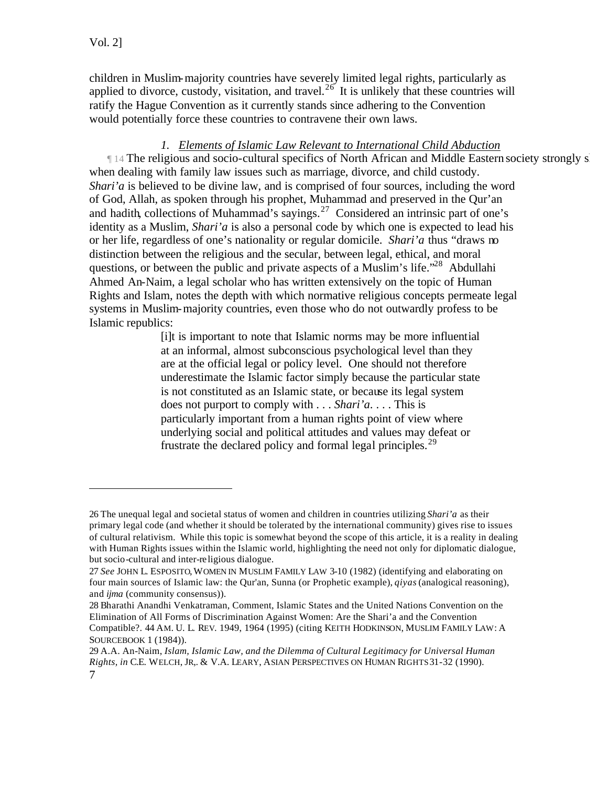$\overline{a}$ 

children in Muslim-majority countries have severely limited legal rights, particularly as applied to divorce, custody, visitation, and travel.<sup>26</sup> It is unlikely that these countries will ratify the Hague Convention as it currently stands since adhering to the Convention would potentially force these countries to contravene their own laws.

# *1. Elements of Islamic Law Relevant to International Child Abduction*

14 The religious and socio-cultural specifics of North African and Middle Eastern society strongly s when dealing with family law issues such as marriage, divorce, and child custody. *Shari'a* is believed to be divine law, and is comprised of four sources, including the word of God, Allah, as spoken through his prophet, Muhammad and preserved in the Qur'an and hadith, collections of Muhammad's sayings.<sup>27</sup> Considered an intrinsic part of one's identity as a Muslim, *Shari'a* is also a personal code by which one is expected to lead his or her life, regardless of one's nationality or regular domicile. *Shari'a* thus "draws no distinction between the religious and the secular, between legal, ethical, and moral questions, or between the public and private aspects of a Muslim's life."<sup>28</sup> Abdullahi Ahmed An-Naim, a legal scholar who has written extensively on the topic of Human Rights and Islam, notes the depth with which normative religious concepts permeate legal systems in Muslim-majority countries, even those who do not outwardly profess to be Islamic republics:

> [i]t is important to note that Islamic norms may be more influential at an informal, almost subconscious psychological level than they are at the official legal or policy level. One should not therefore underestimate the Islamic factor simply because the particular state is not constituted as an Islamic state, or because its legal system does not purport to comply with . . . *Shari'a*. . . . This is particularly important from a human rights point of view where underlying social and political attitudes and values may defeat or frustrate the declared policy and formal legal principles.<sup>29</sup>

<sup>26</sup> The unequal legal and societal status of women and children in countries utilizing *Shari'a* as their primary legal code (and whether it should be tolerated by the international community) gives rise to issues of cultural relativism. While this topic is somewhat beyond the scope of this article, it is a reality in dealing with Human Rights issues within the Islamic world, highlighting the need not only for diplomatic dialogue, but socio-cultural and inter-re ligious dialogue.

<sup>27</sup> *See* JOHN L. ESPOSITO,WOMEN IN MUSLIM FAMILY LAW 3-10 (1982) (identifying and elaborating on four main sources of Islamic law: the Qur'an, Sunna (or Prophetic example), *qiyas* (analogical reasoning), and *ijma* (community consensus)).

<sup>28</sup> Bharathi Anandhi Venkatraman, Comment, Islamic States and the United Nations Convention on the Elimination of All Forms of Discrimination Against Women: Are the Shari'a and the Convention Compatible?. 44 AM. U. L. REV. 1949, 1964 (1995) (citing KEITH HODKINSON, MUSLIM FAMILY LAW: A SOURCEBOOK 1 (1984)).

<sup>7</sup> 29 A.A. An-Naim, *Islam, Islamic Law, and the Dilemma of Cultural Legitimacy for Universal Human Rights, in* C.E. WELCH, JR,. & V.A. LEARY, ASIAN PERSPECTIVES ON HUMAN RIGHTS 31-32 (1990).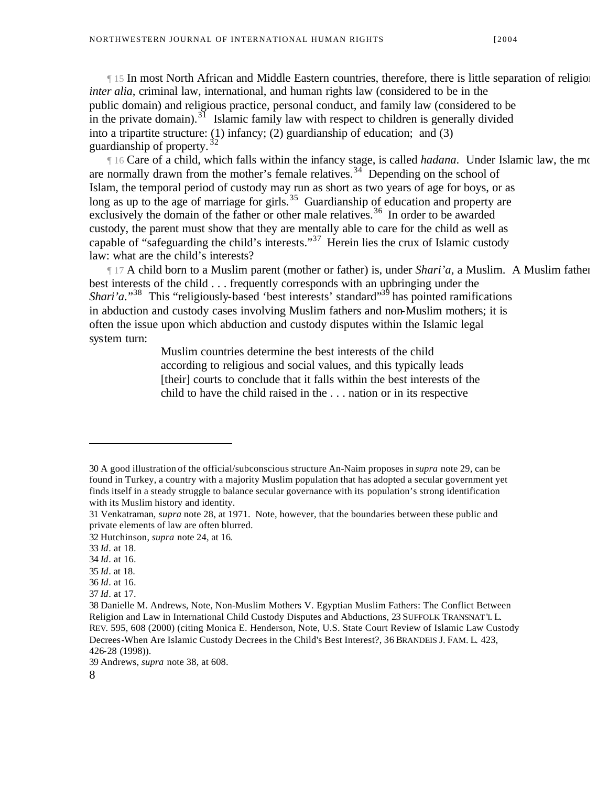¶ 15 In most North African and Middle Eastern countries, therefore, there is little separation of religion and state *inter alia*, criminal law, international, and human rights law (considered to be in the public domain) and religious practice, personal conduct, and family law (considered to be in the private domain).<sup>31</sup> Islamic family law with respect to children is generally divided into a tripartite structure: (1) infancy; (2) guardianship of education; and (3) guardianship of property.  $32$ 

If 16 Care of a child, which falls within the infancy stage, is called *hadana*. Under Islamic law, the mo are normally drawn from the mother's female relatives.<sup>34</sup> Depending on the school of Islam, the temporal period of custody may run as short as two years of age for boys, or as long as up to the age of marriage for girls.<sup>35</sup> Guardianship of education and property are exclusively the domain of the father or other male relatives.<sup>36</sup> In order to be awarded custody, the parent must show that they are mentally able to care for the child as well as capable of "safeguarding the child's interests."<sup>37</sup> Herein lies the crux of Islamic custody law: what are the child's interests?

 $\parallel$  17 A child born to a Muslim parent (mother or father) is, under *Shari'a*, a Muslim. A Muslim father best interests of the child . . . frequently corresponds with an upbringing under the *Shari'a*."<sup>38</sup> This "religiously-based 'best interests' standard"<sup>39</sup> has pointed ramifications in abduction and custody cases involving Muslim fathers and non-Muslim mothers; it is often the issue upon which abduction and custody disputes within the Islamic legal system turn:

> Muslim countries determine the best interests of the child according to religious and social values, and this typically leads [their] courts to conclude that it falls within the best interests of the child to have the child raised in the . . . nation or in its respective

 $\overline{a}$ 

- 35 *Id*. at 18.
- 36 *Id*. at 16.

39 Andrews, *supra* note 38, at 608.

<sup>30</sup> A good illustration of the official/subconscious structure An-Naim proposes in *supra* note 29, can be found in Turkey, a country with a majority Muslim population that has adopted a secular government yet finds itself in a steady struggle to balance secular governance with its population's strong identification with its Muslim history and identity.

<sup>31</sup> Venkatraman, *supra* note 28, at 1971. Note, however, that the boundaries between these public and private elements of law are often blurred.

<sup>32</sup> Hutchinson, *supra* note 24, at 16.

<sup>33</sup> *Id*. at 18.

<sup>34</sup> *Id*. at 16.

<sup>37</sup> *Id*. at 17.

<sup>38</sup> Danielle M. Andrews, Note, Non-Muslim Mothers V. Egyptian Muslim Fathers: The Conflict Between Religion and Law in International Child Custody Disputes and Abductions, 23 SUFFOLK TRANSNAT'L L. REV. 595, 608 (2000) (citing Monica E. Henderson, Note, U.S. State Court Review of Islamic Law Custody Decrees-When Are Islamic Custody Decrees in the Child's Best Interest?, 36 BRANDEIS J. FAM. L. 423, 426-28 (1998)).

<sup>8</sup>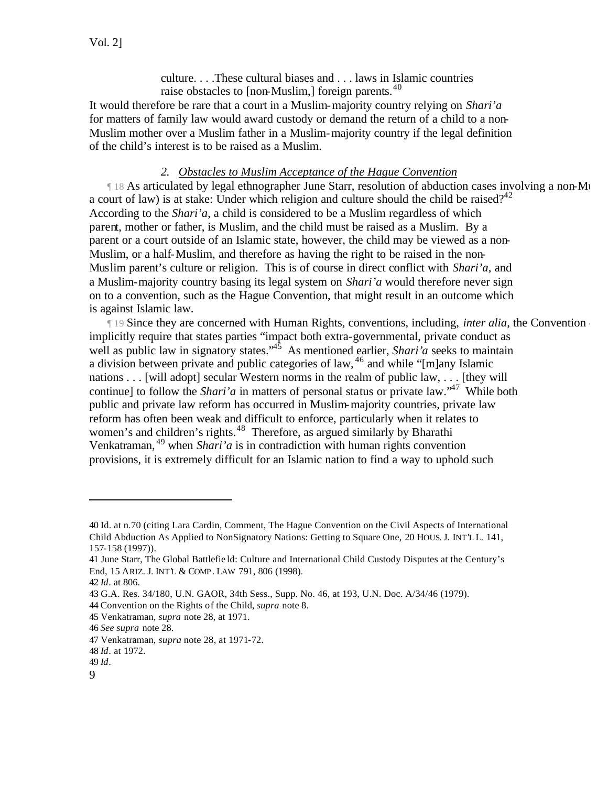culture. . . .These cultural biases and . . . laws in Islamic countries raise obstacles to  $[non-Muslim]$  foreign parents.<sup>40</sup>

It would therefore be rare that a court in a Muslim-majority country relying on *Shari'a* for matters of family law would award custody or demand the return of a child to a non-Muslim mother over a Muslim father in a Muslim-majority country if the legal definition of the child's interest is to be raised as a Muslim.

#### *2. Obstacles to Muslim Acceptance of the Hague Convention*

If 18 As articulated by legal ethnographer June Starr, resolution of abduction cases involving a non-Muslim father motion motion motion motion and Muslim father and Muslim father to Muslim father to Muslim father to Muslim a court of law) is at stake: Under which religion and culture should the child be raised?<sup>42</sup> According to the *Shari'a*, a child is considered to be a Muslim regardless of which parent, mother or father, is Muslim, and the child must be raised as a Muslim. By a parent or a court outside of an Islamic state, however, the child may be viewed as a non-Muslim, or a half-Muslim, and therefore as having the right to be raised in the non-Muslim parent's culture or religion. This is of course in direct conflict with *Shari'a*, and a Muslim-majority country basing its legal system on *Shari'a* would therefore never sign on to a convention, such as the Hague Convention, that might result in an outcome which is against Islamic law.

**The Since they are concerned with Human Rights, conventions, including,** *inter alia***, the Convention** implicitly require that states parties "impact both extra-governmental, private conduct as well as public law in signatory states.<sup>45</sup> As mentioned earlier, *Shari'a* seeks to maintain a division between private and public categories of law,  $46$  and while "[m]any Islamic nations . . . [will adopt] secular Western norms in the realm of public law, . . . [they will continue] to follow the *Shari'a* in matters of personal status or private law.<sup>\*47</sup> While both public and private law reform has occurred in Muslim-majority countries, private law reform has often been weak and difficult to enforce, particularly when it relates to women's and children's rights.<sup>48</sup> Therefore, as argued similarly by Bharathi Venkatraman, <sup>49</sup> when *Shari'a* is in contradiction with human rights convention provisions, it is extremely difficult for an Islamic nation to find a way to uphold such

<sup>40</sup> Id. at n.70 (citing Lara Cardin, Comment, The Hague Convention on the Civil Aspects of International Child Abduction As Applied to NonSignatory Nations: Getting to Square One, 20 HOUS. J. INT'L L. 141, 157-158 (1997)).

<sup>41</sup> June Starr, The Global Battlefie ld: Culture and International Child Custody Disputes at the Century's End, 15 ARIZ. J. INT'L & COMP. LAW 791, 806 (1998).

<sup>42</sup> *Id*. at 806.

<sup>43</sup> G.A. Res. 34/180, U.N. GAOR, 34th Sess., Supp. No. 46, at 193, U.N. Doc. A/34/46 (1979).

<sup>44</sup> Convention on the Rights of the Child, *supra* note 8.

<sup>45</sup> Venkatraman, *supra* note 28, at 1971.

<sup>46</sup> *See supra* note 28.

<sup>47</sup> Venkatraman, *supra* note 28, at 1971-72.

<sup>48</sup> *Id*. at 1972.

<sup>49</sup> *Id*.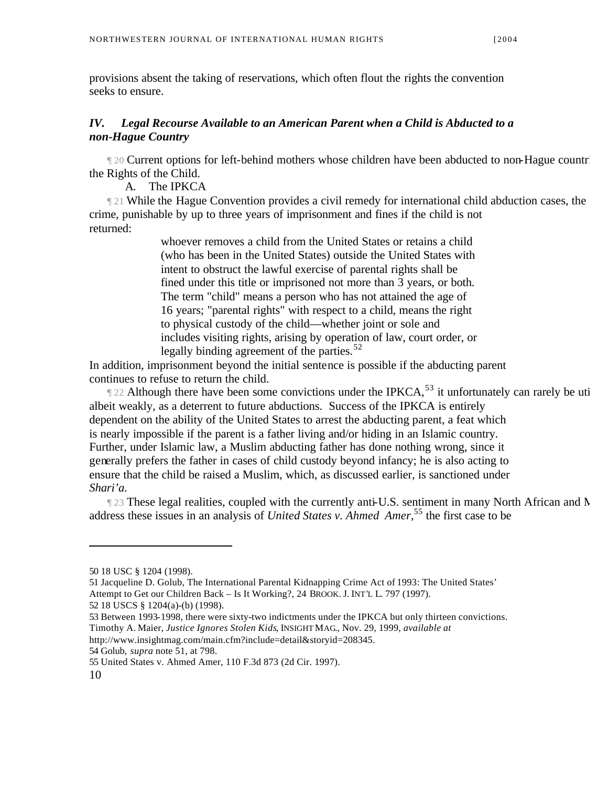provisions absent the taking of reservations, which often flout the rights the convention seeks to ensure.

#### *IV. Legal Recourse Available to an American Parent when a Child is Abducted to a non-Hague Country*

¶ 20 Current options for left-behind mothers whose children have been abducted to non-Hague countries are inadequat the Rights of the Child.

A. The IPKCA

121 While the Hague Convention provides a civil remedy for international child abduction cases, the crime, punishable by up to three years of imprisonment and fines if the child is not returned:

> whoever removes a child from the United States or retains a child (who has been in the United States) outside the United States with intent to obstruct the lawful exercise of parental rights shall be fined under this title or imprisoned not more than 3 years, or both. The term "child" means a person who has not attained the age of 16 years; "parental rights" with respect to a child, means the right to physical custody of the child—whether joint or sole and includes visiting rights, arising by operation of law, court order, or legally binding agreement of the parties.<sup>52</sup>

In addition, imprisonment beyond the initial sentence is possible if the abducting parent continues to refuse to return the child.

 $\parallel$  22 Although there have been some convictions under the IPKCA,<sup>53</sup> it unfortunately can rarely be uti albeit weakly, as a deterrent to future abductions. Success of the IPKCA is entirely dependent on the ability of the United States to arrest the abducting parent, a feat which is nearly impossible if the parent is a father living and/or hiding in an Islamic country. Further, under Islamic law, a Muslim abducting father has done nothing wrong, since it generally prefers the father in cases of child custody beyond infancy; he is also acting to ensure that the child be raised a Muslim, which, as discussed earlier, is sanctioned under *Shari'a*.

123 These legal realities, coupled with the currently anti-U.S. sentiment in many North African and N address these issues in an analysis of *United States v. Ahmed Amer*,<sup>55</sup> the first case to be

51 Jacqueline D. Golub, The International Parental Kidnapping Crime Act of 1993: The United States' Attempt to Get our Children Back – Is It Working?, 24 BROOK. J. INT'L L. 797 (1997). 52 18 USCS § 1204(a)-(b) (1998).

53 Between 1993-1998, there were sixty-two indictments under the IPKCA but only thirteen convictions.

Timothy A. Maier, *Justice Ignores Stolen Kids*, INSIGHT MAG., Nov. 29, 1999, *available at*

http://www.insightmag.com/main.cfm?include=detail&storyid=208345.

54 Golub, *supra* note 51, at 798.

<sup>50 18</sup> USC § 1204 (1998).

<sup>55</sup> United States v. Ahmed Amer, 110 F.3d 873 (2d Cir. 1997).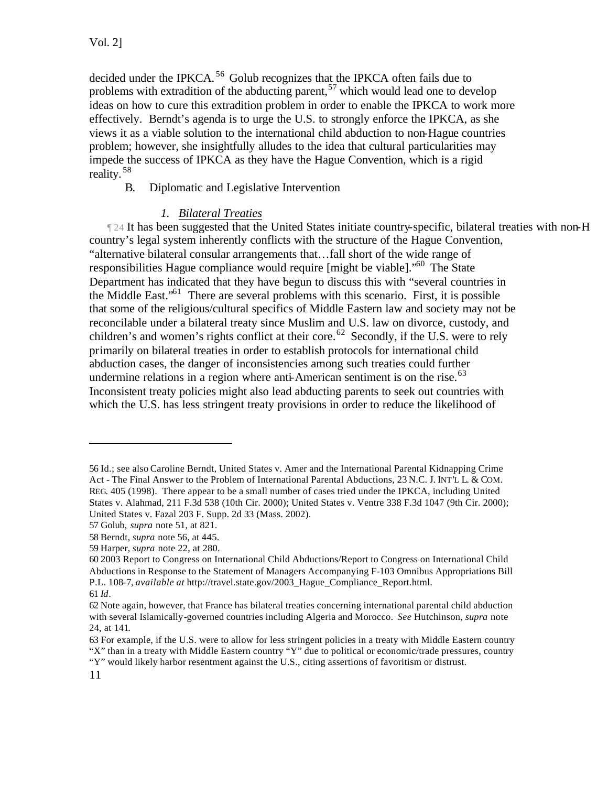decided under the IPKCA.<sup>56</sup> Golub recognizes that the IPKCA often fails due to problems with extradition of the abducting parent,<sup>57</sup> which would lead one to develop ideas on how to cure this extradition problem in order to enable the IPKCA to work more effectively. Berndt's agenda is to urge the U.S. to strongly enforce the IPKCA, as she views it as a viable solution to the international child abduction to non-Hague countries problem; however, she insightfully alludes to the idea that cultural particularities may impede the success of IPKCA as they have the Hague Convention, which is a rigid reality. <sup>58</sup>

B. Diplomatic and Legislative Intervention

## *1. Bilateral Treaties*

 $\P$  24 It has been suggested that the United States initiate country-specific, bilateral treaties with non-H country's legal system inherently conflicts with the structure of the Hague Convention, "alternative bilateral consular arrangements that…fall short of the wide range of responsibilities Hague compliance would require [might be viable]."<sup>60</sup> The State Department has indicated that they have begun to discuss this with "several countries in the Middle East."<sup>61</sup> There are several problems with this scenario. First, it is possible that some of the religious/cultural specifics of Middle Eastern law and society may not be reconcilable under a bilateral treaty since Muslim and U.S. law on divorce, custody, and children's and women's rights conflict at their core.<sup>62</sup> Secondly, if the U.S. were to rely primarily on bilateral treaties in order to establish protocols for international child abduction cases, the danger of inconsistencies among such treaties could further undermine relations in a region where anti-American sentiment is on the rise. $^{63}$ Inconsistent treaty policies might also lead abducting parents to seek out countries with which the U.S. has less stringent treaty provisions in order to reduce the likelihood of

<sup>56</sup> Id.; see also Caroline Berndt, United States v. Amer and the International Parental Kidnapping Crime Act - The Final Answer to the Problem of International Parental Abductions, 23 N.C. J. INT'L L. & COM. REG. 405 (1998). There appear to be a small number of cases tried under the IPKCA, including United States v. Alahmad, 211 F.3d 538 (10th Cir. 2000); United States v. Ventre 338 F.3d 1047 (9th Cir. 2000); United States v. Fazal 203 F. Supp. 2d 33 (Mass. 2002).

<sup>57</sup> Golub, *supra* note 51, at 821.

<sup>58</sup> Berndt, *supra* note 56, at 445.

<sup>59</sup> Harper, *supra* note 22, at 280.

<sup>60 2003</sup> Report to Congress on International Child Abductions/Report to Congress on International Child Abductions in Response to the Statement of Managers Accompanying F-103 Omnibus Appropriations Bill P.L. 108-7, *available at* http://travel.state.gov/2003\_Hague\_Compliance\_Report.html. 61 *Id*.

<sup>62</sup> Note again, however, that France has bilateral treaties concerning international parental child abduction with several Islamically-governed countries including Algeria and Morocco. *See* Hutchinson, *supra* note 24, at 141.

<sup>63</sup> For example, if the U.S. were to allow for less stringent policies in a treaty with Middle Eastern country "X" than in a treaty with Middle Eastern country "Y" due to political or economic/trade pressures, country "Y" would likely harbor resentment against the U.S., citing assertions of favoritism or distrust.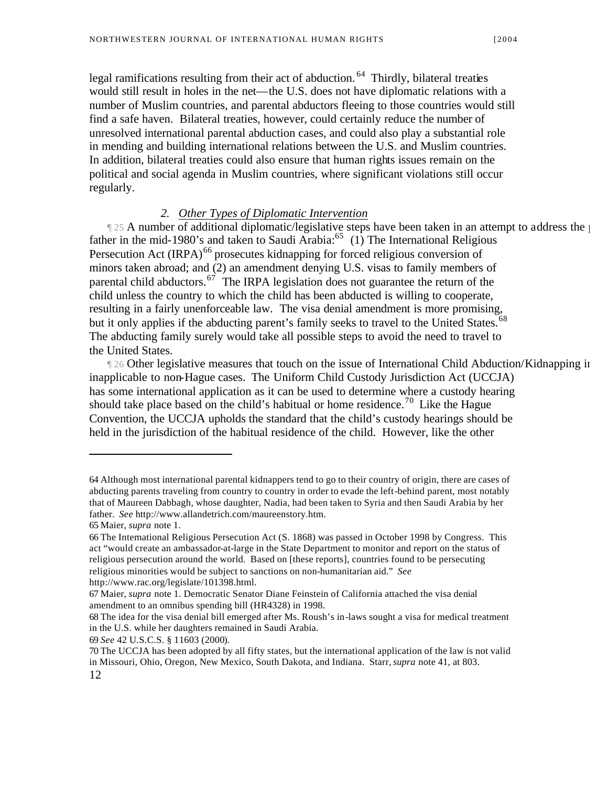legal ramifications resulting from their act of abduction.<sup>64</sup> Thirdly, bilateral treaties would still result in holes in the net—the U.S. does not have diplomatic relations with a number of Muslim countries, and parental abductors fleeing to those countries would still find a safe haven. Bilateral treaties, however, could certainly reduce the number of unresolved international parental abduction cases, and could also play a substantial role in mending and building international relations between the U.S. and Muslim countries. In addition, bilateral treaties could also ensure that human rights issues remain on the political and social agenda in Muslim countries, where significant violations still occur regularly.

#### *2. Other Types of Diplomatic Intervention*

 $\parallel$  25 A number of additional diplomatic/legislative steps have been taken in an attempt to address the problem of above nonfather in the mid-1980's and taken to Saudi Arabia: $65$  (1) The International Religious Persecution Act  $\left($ IRPA $\right)$ <sup>66</sup> prosecutes kidnapping for forced religious conversion of minors taken abroad; and (2) an amendment denying U.S. visas to family members of parental child abductors.<sup>67</sup> The IRPA legislation does not guarantee the return of the child unless the country to which the child has been abducted is willing to cooperate, resulting in a fairly unenforceable law. The visa denial amendment is more promising, but it only applies if the abducting parent's family seeks to travel to the United States.<sup>68</sup> The abducting family surely would take all possible steps to avoid the need to travel to the United States.

The Other legislative measures that touch on the issue of International Child Abduction/Kidnapping in inapplicable to non-Hague cases. The Uniform Child Custody Jurisdiction Act (UCCJA) has some international application as it can be used to determine where a custody hearing should take place based on the child's habitual or home residence.<sup>70</sup> Like the Hague Convention, the UCCJA upholds the standard that the child's custody hearings should be held in the jurisdiction of the habitual residence of the child. However, like the other

<sup>64</sup> Although most international parental kidnappers tend to go to their country of origin, there are cases of abducting parents traveling from country to country in order to evade the left-behind parent, most notably that of Maureen Dabbagh, whose daughter, Nadia, had been taken to Syria and then Saudi Arabia by her father. *See* http://www.allandetrich.com/maureenstory.htm.

<sup>65</sup> Maier, *supra* note 1.

<sup>66</sup> The International Religious Persecution Act (S. 1868) was passed in October 1998 by Congress. This act "would create an ambassador-at-large in the State Department to monitor and report on the status of religious persecution around the world. Based on [these reports], countries found to be persecuting religious minorities would be subject to sanctions on non-humanitarian aid." *See*  http://www.rac.org/legislate/101398.html.

<sup>67</sup> Maier, *supra* note 1. Democratic Senator Diane Feinstein of California attached the visa denial amendment to an omnibus spending bill (HR4328) in 1998.

<sup>68</sup> The idea for the visa denial bill emerged after Ms. Roush's in-laws sought a visa for medical treatment in the U.S. while her daughters remained in Saudi Arabia.

<sup>69</sup> *See* 42 U.S.C.S. § 11603 (2000).

<sup>12</sup> 70 The UCCJA has been adopted by all fifty states, but the international application of the law is not valid in Missouri, Ohio, Oregon, New Mexico, South Dakota, and Indiana. Starr, *supra* note 41, at 803.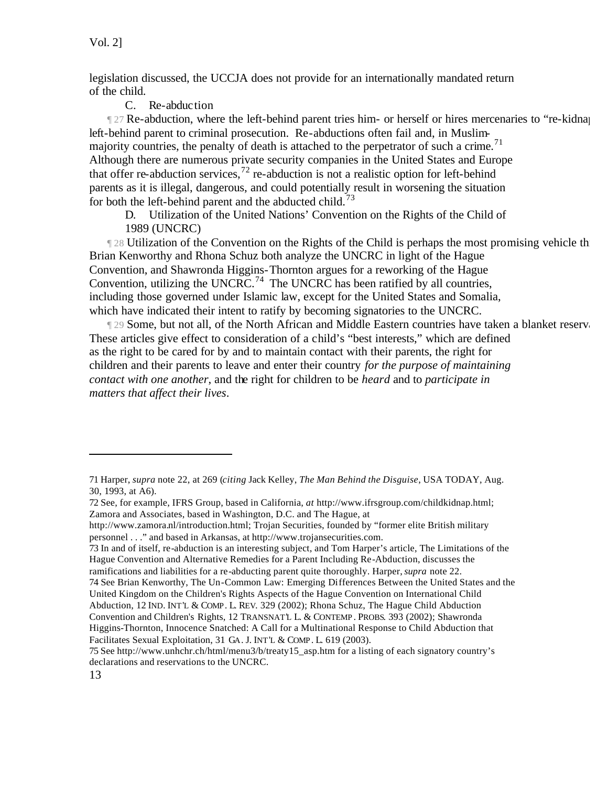legislation discussed, the UCCJA does not provide for an internationally mandated return of the child.

#### C. Re-abduction

The 27 Re-abduction, where the left-behind parent tries him- or herself or hires mercenaries to "re-kidnap" left-behind parent to criminal prosecution. Re-abductions often fail and, in Muslimmajority countries, the penalty of death is attached to the perpetrator of such a crime.<sup>71</sup> Although there are numerous private security companies in the United States and Europe that offer re-abduction services,<sup>72</sup> re-abduction is not a realistic option for left-behind parents as it is illegal, dangerous, and could potentially result in worsening the situation for both the left-behind parent and the abducted child.<sup>73</sup>

D. Utilization of the United Nations' Convention on the Rights of the Child of 1989 (UNCRC)

[128] Utilization of the Convention on the Rights of the Child is perhaps the most promising vehicle the return of a child about the return of a child is perhaps the most promising vehicle the return of a non-Brian Kenworthy and Rhona Schuz both analyze the UNCRC in light of the Hague Convention, and Shawronda Higgins-Thornton argues for a reworking of the Hague Convention, utilizing the UNCRC.<sup>74</sup> The UNCRC has been ratified by all countries, including those governed under Islamic law, except for the United States and Somalia, which have indicated their intent to ratify by becoming signatories to the UNCRC.

¶ 29 Some, but not all, of the North African and Middle Eastern countries have taken a blanket reservation to statements with These articles give effect to consideration of a child's "best interests," which are defined as the right to be cared for by and to maintain contact with their parents, the right for children and their parents to leave and enter their country *for the purpose of maintaining contact with one another*, and the right for children to be *heard* and to *participate in matters that affect their lives*.

<sup>71</sup> Harper, *supra* note 22, at 269 (*citing* Jack Kelley, *The Man Behind the Disguise*, USA TODAY, Aug. 30, 1993, at A6).

<sup>72</sup> See, for example, IFRS Group, based in California, *at* http://www.ifrsgroup.com/childkidnap.html; Zamora and Associates, based in Washington, D.C. and The Hague, at

http://www.zamora.nl/introduction.html; Trojan Securities, founded by "former elite British military personnel . . ." and based in Arkansas, at http://www.trojansecurities.com.

<sup>73</sup> In and of itself, re-abduction is an interesting subject, and Tom Harper's article, The Limitations of the Hague Convention and Alternative Remedies for a Parent Including Re-Abduction, discusses the ramifications and liabilities for a re-abducting parent quite thoroughly. Harper, *supra* note 22.

<sup>74</sup> See Brian Kenworthy, The Un-Common Law: Emerging Differences Between the United States and the United Kingdom on the Children's Rights Aspects of the Hague Convention on International Child Abduction, 12 IND. INT'L & COMP. L. REV. 329 (2002); Rhona Schuz, The Hague Child Abduction Convention and Children's Rights, 12 TRANSNAT'L L. & CONTEMP. PROBS. 393 (2002); Shawronda Higgins-Thornton, Innocence Snatched: A Call for a Multinational Response to Child Abduction that Facilitates Sexual Exploitation, 31 GA. J. INT'L & COMP. L. 619 (2003).

<sup>75</sup> See http://www.unhchr.ch/html/menu3/b/treaty15\_asp.htm for a listing of each signatory country's declarations and reservations to the UNCRC.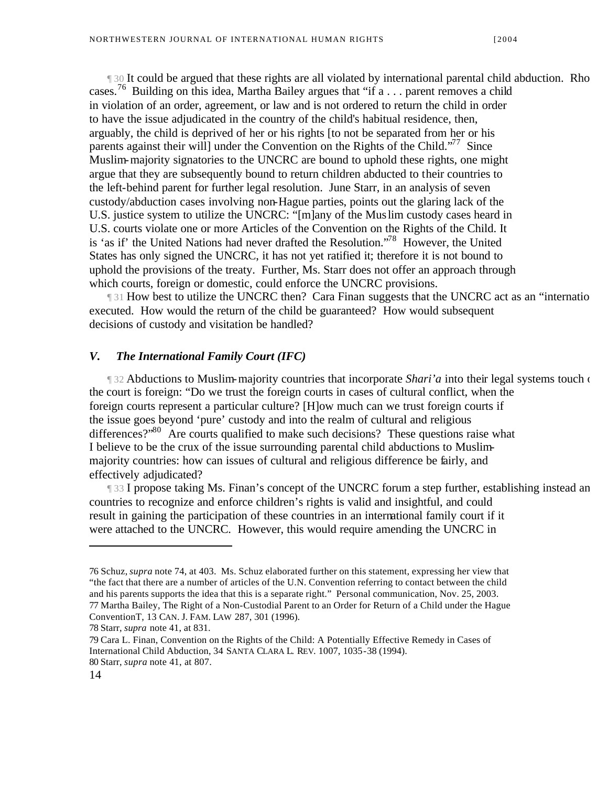If 30 It could be argued that these rights are all violated by international parental child abduction. Rho cases.<sup>76</sup> Building on this idea, Martha Bailey argues that "if a . . . parent removes a child in violation of an order, agreement, or law and is not ordered to return the child in order to have the issue adjudicated in the country of the child's habitual residence, then, arguably, the child is deprived of her or his rights [to not be separated from her or his parents against their will under the Convention on the Rights of the Child."<sup>77</sup> Since Muslim-majority signatories to the UNCRC are bound to uphold these rights, one might argue that they are subsequently bound to return children abducted to their countries to the left-behind parent for further legal resolution. June Starr, in an analysis of seven custody/abduction cases involving non-Hague parties, points out the glaring lack of the U.S. justice system to utilize the UNCRC: "[m]any of the Muslim custody cases heard in U.S. courts violate one or more Articles of the Convention on the Rights of the Child. It is 'as if' the United Nations had never drafted the Resolution."<sup>78</sup> However, the United States has only signed the UNCRC, it has not yet ratified it; therefore it is not bound to uphold the provisions of the treaty. Further, Ms. Starr does not offer an approach through which courts, foreign or domestic, could enforce the UNCRC provisions.

[31 How best to utilize the UNCRC then? Cara Finan suggests that the UNCRC act as an "international" executed. How would the return of the child be guaranteed? How would subsequent decisions of custody and visitation be handled?

#### *V. The International Family Court (IFC)*

 $\parallel$  32 Abductions to Muslim-majority countries that incorporate *Shari'a* into their legal systems touch on the court is foreign: "Do we trust the foreign courts in cases of cultural conflict, when the foreign courts represent a particular culture? [H]ow much can we trust foreign courts if the issue goes beyond 'pure' custody and into the realm of cultural and religious differences?"<sup>80</sup> Are courts qualified to make such decisions? These questions raise what I believe to be the crux of the issue surrounding parental child abductions to Muslimmajority countries: how can issues of cultural and religious difference be fairly, and effectively adjudicated?

[33 I propose taking Ms. Finan's concept of the UNCRC forum a step further, establishing instead an countries to recognize and enforce children's rights is valid and insightful, and could result in gaining the participation of these countries in an international family court if it were attached to the UNCRC. However, this would require amending the UNCRC in

<sup>76</sup> Schuz, *supra* note 74, at 403. Ms. Schuz elaborated further on this statement, expressing her view that "the fact that there are a number of articles of the U.N. Convention referring to contact between the child and his parents supports the idea that this is a separate right." Personal communication, Nov. 25, 2003. 77 Martha Bailey, The Right of a Non-Custodial Parent to an Order for Return of a Child under the Hague ConventionT, 13 CAN. J. FAM. LAW 287, 301 (1996).

<sup>78</sup> Starr, *supra* note 41, at 831.

<sup>79</sup> Cara L. Finan, Convention on the Rights of the Child: A Potentially Effective Remedy in Cases of International Child Abduction, 34 SANTA CLARA L. REV. 1007, 1035-38 (1994). 80 Starr, *supra* note 41, at 807.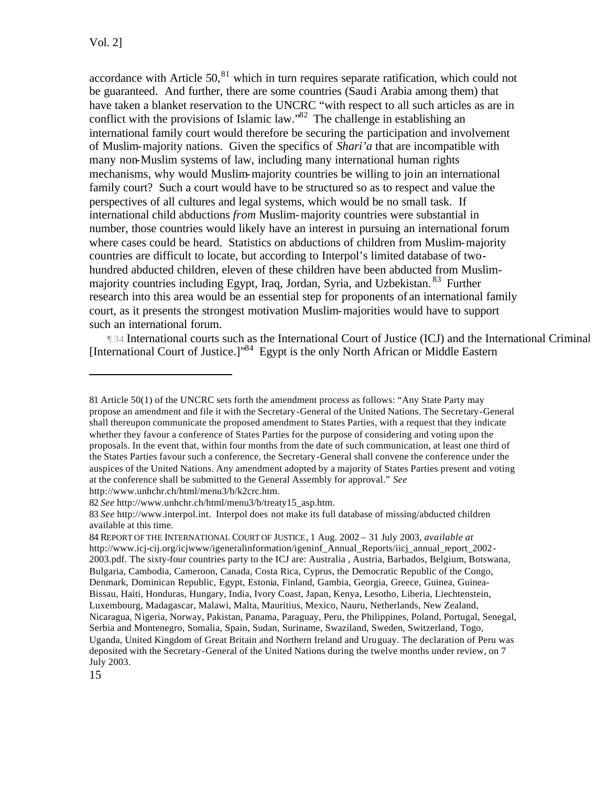accordance with Article  $50<sub>1</sub><sup>81</sup>$  which in turn requires separate ratification, which could not be guaranteed. And further, there are some countries (Saudi Arabia among them) that have taken a blanket reservation to the UNCRC "with respect to all such articles as are in conflict with the provisions of Islamic law."<sup>82</sup> The challenge in establishing an international family court would therefore be securing the participation and involvement of Muslim-majority nations. Given the specifics of *Shari'a* that are incompatible with many non-Muslim systems of law, including many international human rights mechanisms, why would Muslim-majority countries be willing to join an international family court? Such a court would have to be structured so as to respect and value the perspectives of all cultures and legal systems, which would be no small task. If international child abductions *from* Muslim-majority countries were substantial in number, those countries would likely have an interest in pursuing an international forum where cases could be heard. Statistics on abductions of children from Muslim-majority countries are difficult to locate, but according to Interpol's limited database of twohundred abducted children, eleven of these children have been abducted from Muslimmajority countries including Egypt, Iraq, Jordan, Syria, and Uzbekistan. <sup>83</sup> Further research into this area would be an essential step for proponents of an international family court, as it presents the strongest motivation Muslim-majorities would have to support such an international forum.

¶ 34 International courts such as the International Court of Justice (ICJ) and the International Criminal Court (I [International Court of Justice.]"<sup>84</sup> Egypt is the only North African or Middle Eastern

<sup>81</sup> Article 50(1) of the UNCRC sets forth the amendment process as follows: "Any State Party may propose an amendment and file it with the Secretary-General of the United Nations. The Secretary-General shall thereupon communicate the proposed amendment to States Parties, with a request that they indicate whether they favour a conference of States Parties for the purpose of considering and voting upon the proposals. In the event that, within four months from the date of such communication, at least one third of the States Parties favour such a conference, the Secretary-General shall convene the conference under the auspices of the United Nations. Any amendment adopted by a majority of States Parties present and voting at the conference shall be submitted to the General Assembly for approval." *See* http://www.unhchr.ch/html/menu3/b/k2crc.htm.

<sup>82</sup> *See* http://www.unhchr.ch/html/menu3/b/treaty15\_asp.htm.

<sup>83</sup> *See* http://www.interpol.int. Interpol does not make its full database of missing/abducted children available at this time.

<sup>84</sup> REPORT OF THE INTERNATIONAL COURT OF JUSTICE, 1 Aug. 2002 – 31 July 2003, *available at*  http://www.icj-cij.org/icjwww/igeneralinformation/igeninf\_Annual\_Reports/iicj\_annual\_report\_2002-2003.pdf. The sixty-four countries party to the ICJ are: Australia , Austria, Barbados, Belgium, Botswana, Bulgaria, Cambodia, Cameroon, Canada, Costa Rica, Cyprus, the Democratic Republic of the Congo, Denmark, Dominican Republic, Egypt, Estonia, Finland, Gambia, Georgia, Greece, Guinea, Guinea-Bissau, Haiti, Honduras, Hungary, India, Ivory Coast, Japan, Kenya, Lesotho, Liberia, Liechtenstein, Luxembourg, Madagascar, Malawi, Malta, Mauritius, Mexico, Nauru, Netherlands, New Zealand, Nicaragua, Nigeria, Norway, Pakistan, Panama, Paraguay, Peru, the Philippines, Poland, Portugal, Senegal, Serbia and Montenegro, Somalia, Spain, Sudan, Suriname, Swaziland, Sweden, Switzerland, Togo, Uganda, United Kingdom of Great Britain and Northern Ireland and Uruguay. The declaration of Peru was deposited with the Secretary-General of the United Nations during the twelve months under review, on 7 July 2003.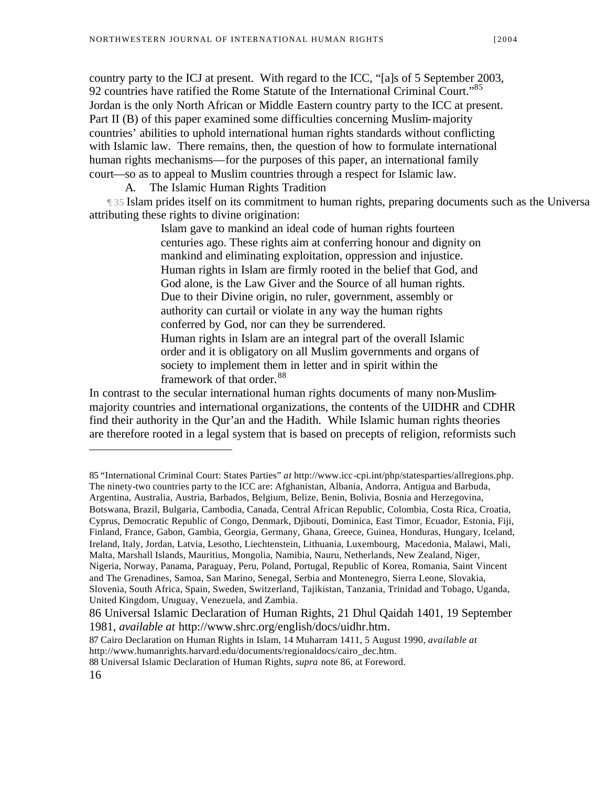country party to the ICJ at present. With regard to the ICC, "[a]s of 5 September 2003, 92 countries have ratified the Rome Statute of the International Criminal Court."85 Jordan is the only North African or Middle Eastern country party to the ICC at present. Part II (B) of this paper examined some difficulties concerning Muslim-majority countries' abilities to uphold international human rights standards without conflicting with Islamic law. There remains, then, the question of how to formulate international human rights mechanisms—for the purposes of this paper, an international family court—so as to appeal to Muslim countries through a respect for Islamic law.

A. The Islamic Human Rights Tradition

¶ 35 Islam prides itself on its commitment to human rights, preparing documents such as the Universal Islamic Declaration of Human Rights in 1981 (UIDHR) attributing these rights to divine origination:

> Islam gave to mankind an ideal code of human rights fourteen centuries ago. These rights aim at conferring honour and dignity on mankind and eliminating exploitation, oppression and injustice. Human rights in Islam are firmly rooted in the belief that God, and God alone, is the Law Giver and the Source of all human rights. Due to their Divine origin, no ruler, government, assembly or authority can curtail or violate in any way the human rights conferred by God, nor can they be surrendered. Human rights in Islam are an integral part of the overall Islamic order and it is obligatory on all Muslim governments and organs of society to implement them in letter and in spirit within the framework of that order.<sup>88</sup>

In contrast to the secular international human rights documents of many non-Muslimmajority countries and international organizations, the contents of the UIDHR and CDHR find their authority in the Qur'an and the Hadith. While Islamic human rights theories are therefore rooted in a legal system that is based on precepts of religion, reformists such

87 Cairo Declaration on Human Rights in Islam, 14 Muharram 1411, 5 August 1990, *available at* http://www.humanrights.harvard.edu/documents/regionaldocs/cairo\_dec.htm.

88 Universal Islamic Declaration of Human Rights, *supra* note 86, at Foreword.

<sup>85 &</sup>quot;International Criminal Court: States Parties" *at* http://www.icc-cpi.int/php/statesparties/allregions.php. The ninety-two countries party to the ICC are: Afghanistan, Albania, Andorra, Antigua and Barbuda, Argentina, Australia, Austria, Barbados, Belgium, Belize, Benin, Bolivia, Bosnia and Herzegovina, Botswana, Brazil, Bulgaria, Cambodia, Canada, Central African Republic, Colombia, Costa Rica, Croatia, Cyprus, Democratic Republic of Congo, Denmark, Djibouti, Dominica, East Timor, Ecuador, Estonia, Fiji, Finland, France, Gabon, Gambia, Georgia, Germany, Ghana, Greece, Guinea, Honduras, Hungary, Iceland, Ireland, Italy, Jordan, Latvia, Lesotho, Liechtenstein, Lithuania, Luxembourg, Macedonia, Malawi, Mali, Malta, Marshall Islands, Mauritius, Mongolia, Namibia, Nauru, Netherlands, New Zealand, Niger, Nigeria, Norway, Panama, Paraguay, Peru, Poland, Portugal, Republic of Korea, Romania, Saint Vincent and The Grenadines, Samoa, San Marino, Senegal, Serbia and Montenegro, Sierra Leone, Slovakia, Slovenia, South Africa, Spain, Sweden, Switzerland, Tajikistan, Tanzania, Trinidad and Tobago, Uganda, United Kingdom, Uruguay, Venezuela, and Zambia.

<sup>86</sup> Universal Islamic Declaration of Human Rights, 21 Dhul Qaidah 1401, 19 September 1981, *available at* http://www.shrc.org/english/docs/uidhr.htm.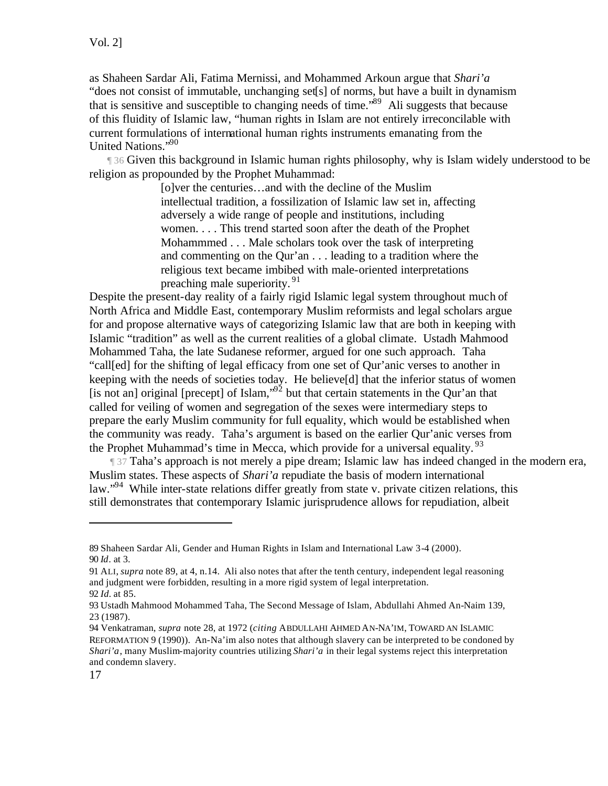as Shaheen Sardar Ali, Fatima Mernissi, and Mohammed Arkoun argue that *Shari'a* "does not consist of immutable, unchanging set[s] of norms, but have a built in dynamism that is sensitive and susceptible to changing needs of time."<sup>89</sup> Ali suggests that because of this fluidity of Islamic law, "human rights in Islam are not entirely irreconcilable with current formulations of international human rights instruments emanating from the United Nations."<sup>90</sup>

If 36 Given this background in Islamic human rights philosophy, why is Islam widely understood to be religion as propounded by the Prophet Muhammad:

> [o]ver the centuries…and with the decline of the Muslim intellectual tradition, a fossilization of Islamic law set in, affecting adversely a wide range of people and institutions, including women. . . . This trend started soon after the death of the Prophet Mohammmed . . . Male scholars took over the task of interpreting and commenting on the Qur'an . . . leading to a tradition where the religious text became imbibed with male-oriented interpretations preaching male superiority.<sup>91</sup>

Despite the present-day reality of a fairly rigid Islamic legal system throughout much of North Africa and Middle East, contemporary Muslim reformists and legal scholars argue for and propose alternative ways of categorizing Islamic law that are both in keeping with Islamic "tradition" as well as the current realities of a global climate. Ustadh Mahmood Mohammed Taha, the late Sudanese reformer, argued for one such approach. Taha "call[ed] for the shifting of legal efficacy from one set of Qur'anic verses to another in keeping with the needs of societies today. He believe[d] that the inferior status of women [is not an] original [precept] of Islam," $\frac{92}{2}$  but that certain statements in the Qur'an that called for veiling of women and segregation of the sexes were intermediary steps to prepare the early Muslim community for full equality, which would be established when the community was ready. Taha's argument is based on the earlier Qur'anic verses from the Prophet Muhammad's time in Mecca, which provide for a universal equality.  $93$ 

 $\parallel$  37 Taha's approach is not merely a pipe dream; Islamic law has indeed changed in the modern era, Muslim states. These aspects of *Shari'a* repudiate the basis of modern international law."<sup>94</sup> While inter-state relations differ greatly from state v. private citizen relations, this still demonstrates that contemporary Islamic jurisprudence allows for repudiation, albeit

<sup>89</sup> Shaheen Sardar Ali, Gender and Human Rights in Islam and International Law 3-4 (2000). 90 *Id*. at 3.

<sup>91</sup> ALI, *supra* note 89, at 4, n.14. Ali also notes that after the tenth century, independent legal reasoning and judgment were forbidden, resulting in a more rigid system of legal interpretation. 92 *Id.* at 85.

<sup>93</sup> Ustadh Mahmood Mohammed Taha, The Second Message of Islam, Abdullahi Ahmed An-Naim 139, 23 (1987).

<sup>94</sup> Venkatraman, *supra* note 28, at 1972 (*citing* ABDULLAHI AHMED AN-NA'IM, TOWARD AN ISLAMIC REFORMATION 9 (1990)). An-Na'im also notes that although slavery can be interpreted to be condoned by *Shari'a*, many Muslim-majority countries utilizing *Shari'a* in their legal systems reject this interpretation and condemn slavery.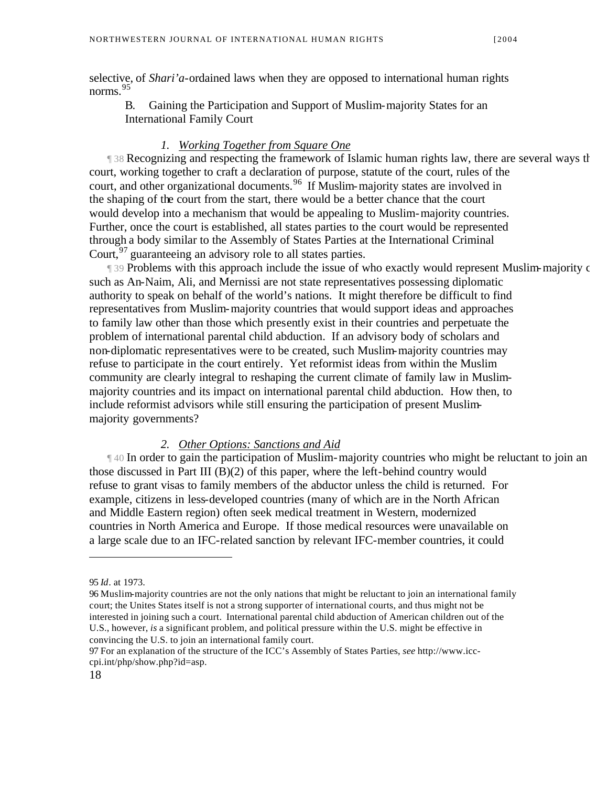selective, of *Shari'a*-ordained laws when they are opposed to international human rights norms.<sup>95</sup>

B. Gaining the Participation and Support of Muslim-majority States for an International Family Court

#### *1. Working Together from Square One*

If 38 Recognizing and respecting the framework of Islamic human rights law, there are several ways the international community could "market" and international family could "market" and international family court and musli court, working together to craft a declaration of purpose, statute of the court, rules of the court, and other organizational documents.<sup>96</sup> If Muslim-majority states are involved in the shaping of the court from the start, there would be a better chance that the court would develop into a mechanism that would be appealing to Muslim-majority countries. Further, once the court is established, all states parties to the court would be represented through a body similar to the Assembly of States Parties at the International Criminal Court,  $\frac{97}{9}$  guaranteeing an advisory role to all states parties.

**T** 39 Problems with this approach include the issue of who exactly would represent Muslim-majority c such as An-Naim, Ali, and Mernissi are not state representatives possessing diplomatic authority to speak on behalf of the world's nations. It might therefore be difficult to find representatives from Muslim-majority countries that would support ideas and approaches to family law other than those which presently exist in their countries and perpetuate the problem of international parental child abduction. If an advisory body of scholars and non-diplomatic representatives were to be created, such Muslim-majority countries may refuse to participate in the court entirely. Yet reformist ideas from within the Muslim community are clearly integral to reshaping the current climate of family law in Muslimmajority countries and its impact on international parental child abduction. How then, to include reformist advisors while still ensuring the participation of present Muslimmajority governments?

#### *2. Other Options: Sanctions and Aid*

 $\parallel$  40 In order to gain the participation of Muslim-majority countries who might be reluctant to join an those discussed in Part III  $(B)(2)$  of this paper, where the left-behind country would refuse to grant visas to family members of the abductor unless the child is returned. For example, citizens in less-developed countries (many of which are in the North African and Middle Eastern region) often seek medical treatment in Western, modernized countries in North America and Europe. If those medical resources were unavailable on a large scale due to an IFC-related sanction by relevant IFC-member countries, it could

<sup>95</sup> *Id*. at 1973.

<sup>96</sup> Muslim-majority countries are not the only nations that might be reluctant to join an international family court; the Unites States itself is not a strong supporter of international courts, and thus might not be interested in joining such a court. International parental child abduction of American children out of the U.S., however, *is* a significant problem, and political pressure within the U.S. might be effective in convincing the U.S. to join an international family court.

<sup>97</sup> For an explanation of the structure of the ICC's Assembly of States Parties, *see* http://www.icccpi.int/php/show.php?id=asp.